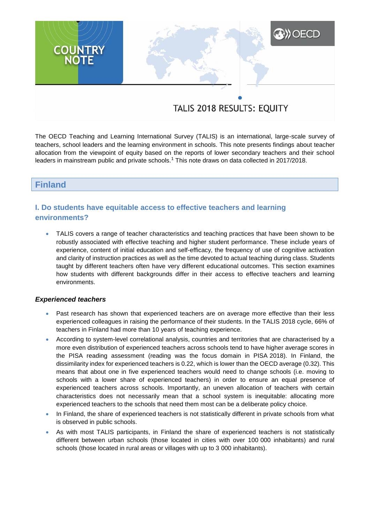# **XXX** OECD **COUNTRY**<br>NOTE

# TALIS 2018 RESULTS: EQUITY

The OECD Teaching and Learning International Survey (TALIS) is an international, large-scale survey of teachers, school leaders and the learning environment in schools. This note presents findings about teacher allocation from the viewpoint of equity based on the reports of lower secondary teachers and their school leaders in mainstream public and private schools.<sup>1</sup> This note draws on data collected in 2017/2018.

## **Finland**

# **I. Do students have equitable access to effective teachers and learning environments?**

 TALIS covers a range of teacher characteristics and teaching practices that have been shown to be robustly associated with effective teaching and higher student performance. These include years of experience, content of initial education and self-efficacy, the frequency of use of cognitive activation and clarity of instruction practices as well as the time devoted to actual teaching during class. Students taught by different teachers often have very different educational outcomes. This section examines how students with different backgrounds differ in their access to effective teachers and learning environments.

#### *Experienced teachers*

- Past research has shown that experienced teachers are on average more effective than their less experienced colleagues in raising the performance of their students. In the TALIS 2018 cycle, 66% of teachers in Finland had more than 10 years of teaching experience.
- According to system-level correlational analysis, countries and territories that are characterised by a more even distribution of experienced teachers across schools tend to have higher average scores in the PISA reading assessment (reading was the focus domain in PISA 2018). In Finland, the dissimilarity index for experienced teachers is 0.22, which is lower than the OECD average (0.32). This means that about one in five experienced teachers would need to change schools (i.e. moving to schools with a lower share of experienced teachers) in order to ensure an equal presence of experienced teachers across schools. Importantly, an uneven allocation of teachers with certain characteristics does not necessarily mean that a school system is inequitable: allocating more experienced teachers to the schools that need them most can be a deliberate policy choice.
- In Finland, the share of experienced teachers is not statistically different in private schools from what is observed in public schools.
- As with most TALIS participants, in Finland the share of experienced teachers is not statistically different between urban schools (those located in cities with over 100 000 inhabitants) and rural schools (those located in rural areas or villages with up to 3 000 inhabitants).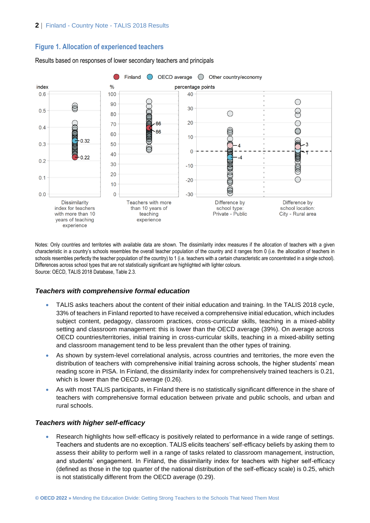#### **Figure 1. Allocation of experienced teachers**



Results based on responses of lower secondary teachers and principals

Notes: Only countries and territories with available data are shown. The dissimilarity index measures if the allocation of teachers with a given characteristic in a country's schools resembles the overall teacher population of the country and it ranges from 0 (i.e. the allocation of teachers in schools resembles perfectly the teacher population of the country) to 1 (i.e. teachers with a certain characteristic are concentrated in a single school). Differences across school types that are not statistically significant are highlighted with lighter colours. Source: OECD, TALIS 2018 Database, Table 2.3.

#### *Teachers with comprehensive formal education*

- TALIS asks teachers about the content of their initial education and training. In the TALIS 2018 cycle, 33% of teachers in Finland reported to have received a comprehensive initial education, which includes subject content, pedagogy, classroom practices, cross-curricular skills, teaching in a mixed-ability setting and classroom management: this is lower than the OECD average (39%). On average across OECD countries/territories, initial training in cross-curricular skills, teaching in a mixed-ability setting and classroom management tend to be less prevalent than the other types of training.
- As shown by system-level correlational analysis, across countries and territories, the more even the distribution of teachers with comprehensive initial training across schools, the higher students' mean reading score in PISA. In Finland, the dissimilarity index for comprehensively trained teachers is 0.21, which is lower than the OECD average (0.26).
- As with most TALIS participants, in Finland there is no statistically significant difference in the share of teachers with comprehensive formal education between private and public schools, and urban and rural schools.

#### *Teachers with higher self-efficacy*

 Research highlights how self-efficacy is positively related to performance in a wide range of settings. Teachers and students are no exception. TALIS elicits teachers' self-efficacy beliefs by asking them to assess their ability to perform well in a range of tasks related to classroom management, instruction, and students' engagement. In Finland, the dissimilarity index for teachers with higher self-efficacy (defined as those in the top quarter of the national distribution of the self-efficacy scale) is 0.25, which is not statistically different from the OECD average (0.29).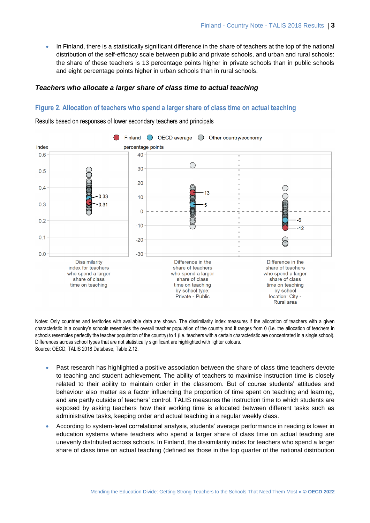In Finland, there is a statistically significant difference in the share of teachers at the top of the national distribution of the self-efficacy scale between public and private schools, and urban and rural schools: the share of these teachers is 13 percentage points higher in private schools than in public schools and eight percentage points higher in urban schools than in rural schools.

#### *Teachers who allocate a larger share of class time to actual teaching*

#### **Figure 2. Allocation of teachers who spend a larger share of class time on actual teaching**

Results based on responses of lower secondary teachers and principals



Notes: Only countries and territories with available data are shown. The dissimilarity index measures if the allocation of teachers with a given characteristic in a country's schools resembles the overall teacher population of the country and it ranges from 0 (i.e. the allocation of teachers in schools resembles perfectly the teacher population of the country) to 1 (i.e. teachers with a certain characteristic are concentrated in a single school). Differences across school types that are not statistically significant are highlighted with lighter colours. Source: OECD, TALIS 2018 Database, Table 2.12.

- Past research has highlighted a positive association between the share of class time teachers devote to teaching and student achievement. The ability of teachers to maximise instruction time is closely related to their ability to maintain order in the classroom. But of course students' attitudes and behaviour also matter as a factor influencing the proportion of time spent on teaching and learning, and are partly outside of teachers' control. TALIS measures the instruction time to which students are exposed by asking teachers how their working time is allocated between different tasks such as administrative tasks, keeping order and actual teaching in a regular weekly class.
- According to system-level correlational analysis, students' average performance in reading is lower in education systems where teachers who spend a larger share of class time on actual teaching are unevenly distributed across schools. In Finland, the dissimilarity index for teachers who spend a larger share of class time on actual teaching (defined as those in the top quarter of the national distribution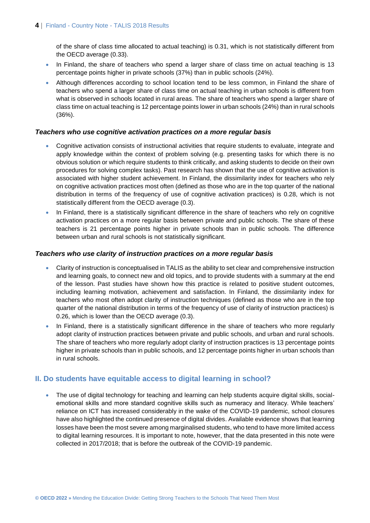of the share of class time allocated to actual teaching) is 0.31, which is not statistically different from the OECD average (0.33).

- In Finland, the share of teachers who spend a larger share of class time on actual teaching is 13 percentage points higher in private schools (37%) than in public schools (24%).
- Although differences according to school location tend to be less common, in Finland the share of teachers who spend a larger share of class time on actual teaching in urban schools is different from what is observed in schools located in rural areas. The share of teachers who spend a larger share of class time on actual teaching is 12 percentage points lower in urban schools (24%) than in rural schools (36%).

#### *Teachers who use cognitive activation practices on a more regular basis*

- Cognitive activation consists of instructional activities that require students to evaluate, integrate and apply knowledge within the context of problem solving (e.g. presenting tasks for which there is no obvious solution or which require students to think critically, and asking students to decide on their own procedures for solving complex tasks). Past research has shown that the use of cognitive activation is associated with higher student achievement. In Finland, the dissimilarity index for teachers who rely on cognitive activation practices most often (defined as those who are in the top quarter of the national distribution in terms of the frequency of use of cognitive activation practices) is 0.28, which is not statistically different from the OECD average (0.3).
- In Finland, there is a statistically significant difference in the share of teachers who rely on cognitive activation practices on a more regular basis between private and public schools. The share of these teachers is 21 percentage points higher in private schools than in public schools. The difference between urban and rural schools is not statistically significant.

#### *Teachers who use clarity of instruction practices on a more regular basis*

- Clarity of instruction is conceptualised in TALIS as the ability to set clear and comprehensive instruction and learning goals, to connect new and old topics, and to provide students with a summary at the end of the lesson. Past studies have shown how this practice is related to positive student outcomes, including learning motivation, achievement and satisfaction. In Finland, the dissimilarity index for teachers who most often adopt clarity of instruction techniques (defined as those who are in the top quarter of the national distribution in terms of the frequency of use of clarity of instruction practices) is 0.26, which is lower than the OECD average (0.3).
- In Finland, there is a statistically significant difference in the share of teachers who more regularly adopt clarity of instruction practices between private and public schools, and urban and rural schools. The share of teachers who more regularly adopt clarity of instruction practices is 13 percentage points higher in private schools than in public schools, and 12 percentage points higher in urban schools than in rural schools.

#### **II. Do students have equitable access to digital learning in school?**

• The use of digital technology for teaching and learning can help students acquire digital skills, socialemotional skills and more standard cognitive skills such as numeracy and literacy. While teachers' reliance on ICT has increased considerably in the wake of the COVID-19 pandemic, school closures have also highlighted the continued presence of digital divides. Available evidence shows that learning losses have been the most severe among marginalised students, who tend to have more limited access to digital learning resources. It is important to note, however, that the data presented in this note were collected in 2017/2018; that is before the outbreak of the COVID-19 pandemic.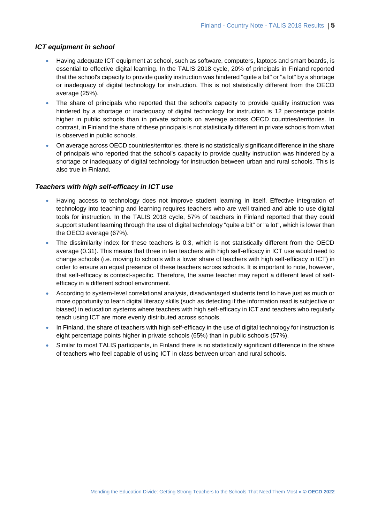#### *ICT equipment in school*

- Having adequate ICT equipment at school, such as software, computers, laptops and smart boards, is essential to effective digital learning. In the TALIS 2018 cycle, 20% of principals in Finland reported that the school's capacity to provide quality instruction was hindered "quite a bit" or "a lot" by a shortage or inadequacy of digital technology for instruction. This is not statistically different from the OECD average (25%).
- The share of principals who reported that the school's capacity to provide quality instruction was hindered by a shortage or inadequacy of digital technology for instruction is 12 percentage points higher in public schools than in private schools on average across OECD countries/territories. In contrast, in Finland the share of these principals is not statistically different in private schools from what is observed in public schools.
- On average across OECD countries/territories, there is no statistically significant difference in the share of principals who reported that the school's capacity to provide quality instruction was hindered by a shortage or inadequacy of digital technology for instruction between urban and rural schools. This is also true in Finland.

#### *Teachers with high self-efficacy in ICT use*

- Having access to technology does not improve student learning in itself. Effective integration of technology into teaching and learning requires teachers who are well trained and able to use digital tools for instruction. In the TALIS 2018 cycle, 57% of teachers in Finland reported that they could support student learning through the use of digital technology "quite a bit" or "a lot", which is lower than the OECD average (67%).
- The dissimilarity index for these teachers is 0.3, which is not statistically different from the OECD average (0.31). This means that three in ten teachers with high self-efficacy in ICT use would need to change schools (i.e. moving to schools with a lower share of teachers with high self-efficacy in ICT) in order to ensure an equal presence of these teachers across schools. It is important to note, however, that self-efficacy is context-specific. Therefore, the same teacher may report a different level of selfefficacy in a different school environment.
- According to system-level correlational analysis, disadvantaged students tend to have just as much or more opportunity to learn digital literacy skills (such as detecting if the information read is subjective or biased) in education systems where teachers with high self-efficacy in ICT and teachers who regularly teach using ICT are more evenly distributed across schools.
- In Finland, the share of teachers with high self-efficacy in the use of digital technology for instruction is eight percentage points higher in private schools (65%) than in public schools (57%).
- Similar to most TALIS participants, in Finland there is no statistically significant difference in the share of teachers who feel capable of using ICT in class between urban and rural schools.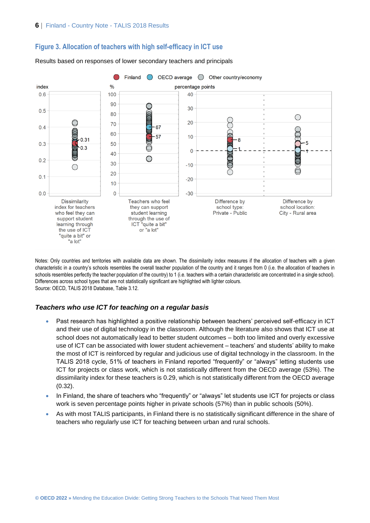



Results based on responses of lower secondary teachers and principals

Notes: Only countries and territories with available data are shown. The dissimilarity index measures if the allocation of teachers with a given characteristic in a country's schools resembles the overall teacher population of the country and it ranges from 0 (i.e. the allocation of teachers in schools resembles perfectly the teacher population of the country) to 1 (i.e. teachers with a certain characteristic are concentrated in a single school). Differences across school types that are not statistically significant are highlighted with lighter colours. Source: OECD, TALIS 2018 Database, Table 3.12.

#### *Teachers who use ICT for teaching on a regular basis*

- Past research has highlighted a positive relationship between teachers' perceived self-efficacy in ICT and their use of digital technology in the classroom. Although the literature also shows that ICT use at school does not automatically lead to better student outcomes – both too limited and overly excessive use of ICT can be associated with lower student achievement – teachers' and students' ability to make the most of ICT is reinforced by regular and judicious use of digital technology in the classroom. In the TALIS 2018 cycle, 51% of teachers in Finland reported "frequently" or "always" letting students use ICT for projects or class work, which is not statistically different from the OECD average (53%). The dissimilarity index for these teachers is 0.29, which is not statistically different from the OECD average (0.32).
- In Finland, the share of teachers who "frequently" or "always" let students use ICT for projects or class work is seven percentage points higher in private schools (57%) than in public schools (50%).
- As with most TALIS participants, in Finland there is no statistically significant difference in the share of teachers who regularly use ICT for teaching between urban and rural schools.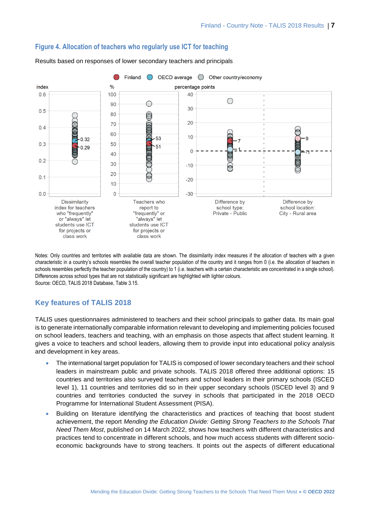

#### **Figure 4. Allocation of teachers who regularly use ICT for teaching**

Results based on responses of lower secondary teachers and principals

Notes: Only countries and territories with available data are shown. The dissimilarity index measures if the allocation of teachers with a given characteristic in a country's schools resembles the overall teacher population of the country and it ranges from 0 (i.e. the allocation of teachers in schools resembles perfectly the teacher population of the country) to 1 (i.e. teachers with a certain characteristic are concentrated in a single school). Differences across school types that are not statistically significant are highlighted with lighter colours. Source: OECD, TALIS 2018 Database, Table 3.15.

## **Key features of TALIS 2018**

TALIS uses questionnaires administered to teachers and their school principals to gather data. Its main goal is to generate internationally comparable information relevant to developing and implementing policies focused on school leaders, teachers and teaching, with an emphasis on those aspects that affect student learning. It gives a voice to teachers and school leaders, allowing them to provide input into educational policy analysis and development in key areas.

- The international target population for TALIS is composed of lower secondary teachers and their school leaders in mainstream public and private schools. TALIS 2018 offered three additional options: 15 countries and territories also surveyed teachers and school leaders in their primary schools (ISCED level 1), 11 countries and territories did so in their upper secondary schools (ISCED level 3) and 9 countries and territories conducted the survey in schools that participated in the 2018 OECD Programme for International Student Assessment (PISA).
- Building on literature identifying the characteristics and practices of teaching that boost student achievement, the report *Mending the Education Divide: Getting Strong Teachers to the Schools That Need Them Most*, published on 14 March 2022, shows how teachers with different characteristics and practices tend to concentrate in different schools, and how much access students with different socioeconomic backgrounds have to strong teachers. It points out the aspects of different educational